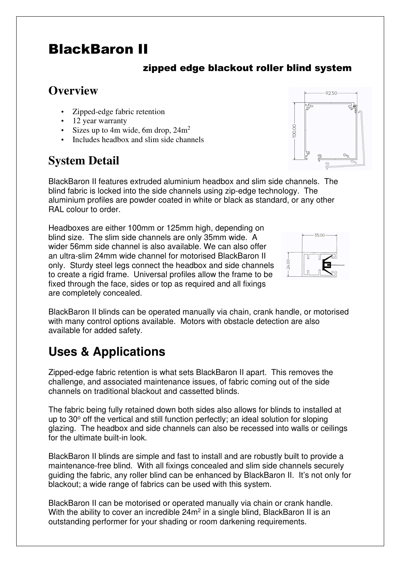## BlackBaron II

#### zipped edge blackout roller blind system

### **Overview**

- Zipped-edge fabric retention
- 12 year warranty
- Sizes up to 4m wide, 6m drop,  $24m^2$
- Includes headbox and slim side channels

### **System Detail**

BlackBaron II features extruded aluminium headbox and slim side channels. The blind fabric is locked into the side channels using zip-edge technology. The aluminium profiles are powder coated in white or black as standard, or any other RAL colour to order.

Headboxes are either 100mm or 125mm high, depending on blind size. The slim side channels are only 35mm wide. A wider 56mm side channel is also available. We can also offer an ultra-slim 24mm wide channel for motorised BlackBaron II only. Sturdy steel legs connect the headbox and side channels to create a rigid frame. Universal profiles allow the frame to be fixed through the face, sides or top as required and all fixings are completely concealed.

BlackBaron II blinds can be operated manually via chain, crank handle, or motorised with many control options available. Motors with obstacle detection are also available for added safety.

# **Uses & Applications**

Zipped-edge fabric retention is what sets BlackBaron II apart. This removes the challenge, and associated maintenance issues, of fabric coming out of the side channels on traditional blackout and cassetted blinds.

The fabric being fully retained down both sides also allows for blinds to installed at up to 30° off the vertical and still function perfectly; an ideal solution for sloping glazing. The headbox and side channels can also be recessed into walls or ceilings for the ultimate built-in look.

BlackBaron II blinds are simple and fast to install and are robustly built to provide a maintenance-free blind. With all fixings concealed and slim side channels securely guiding the fabric, any roller blind can be enhanced by BlackBaron II. It's not only for blackout; a wide range of fabrics can be used with this system.

BlackBaron II can be motorised or operated manually via chain or crank handle. With the ability to cover an incredible  $24m^2$  in a single blind, BlackBaron II is an outstanding performer for your shading or room darkening requirements.